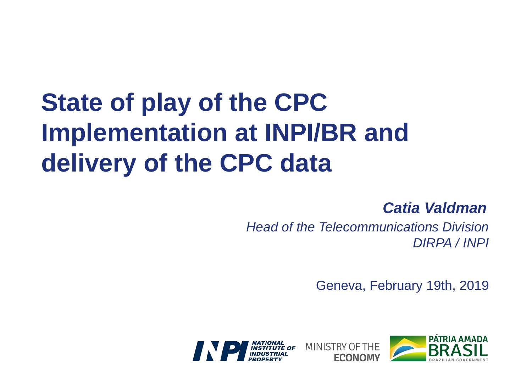## **State of play of the CPC Implementation at INPI/BR and delivery of the CPC data**

## *Catia Valdman*

*Head of the Telecommunications Division DIRPA / INPI*

Geneva, February 19th, 2019



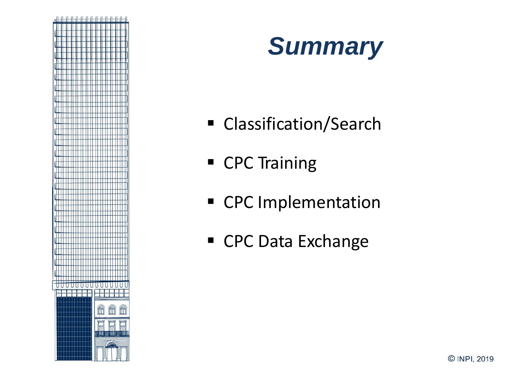



- **EXCLASSIFICATION/Search**
- **CPC** Training
- **CPC** Implementation
- CPC Data Exchange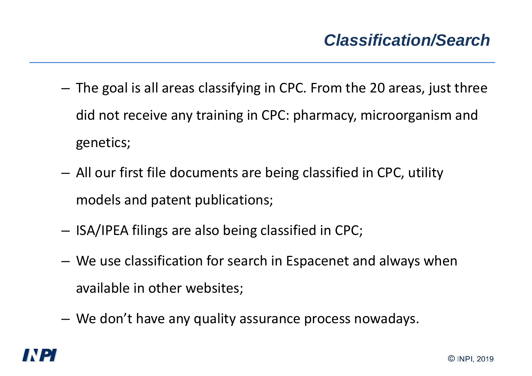- The goal is all areas classifying in CPC. From the 20 areas, just three did not receive any training in CPC: pharmacy, microorganism and genetics;
- All our first file documents are being classified in CPC, utility models and patent publications;
- ISA/IPEA filings are also being classified in CPC;
- We use classification for search in Espacenet and always when available in other websites;
- We don't have any quality assurance process nowadays.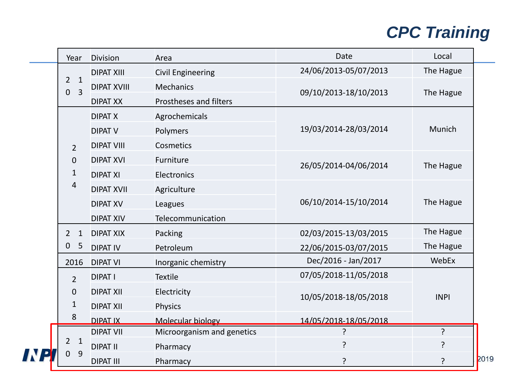## *CPC Training*

|  | Year                                                               | <b>Division</b>    | Area                          | <b>Date</b>           | Local       |     |
|--|--------------------------------------------------------------------|--------------------|-------------------------------|-----------------------|-------------|-----|
|  | $\overline{2}$<br>$\mathbf{1}$<br>$\overline{3}$<br>$\overline{0}$ | <b>DIPAT XIII</b>  | <b>Civil Engineering</b>      | 24/06/2013-05/07/2013 | The Hague   |     |
|  |                                                                    | <b>DIPAT XVIII</b> | <b>Mechanics</b>              | 09/10/2013-18/10/2013 | The Hague   |     |
|  |                                                                    | <b>DIPAT XX</b>    | <b>Prostheses and filters</b> |                       |             |     |
|  | $\overline{2}$<br>$\mathbf{0}$<br>$\mathbf{1}$<br>$\overline{4}$   | <b>DIPAT X</b>     | Agrochemicals                 | 19/03/2014-28/03/2014 | Munich      |     |
|  |                                                                    | <b>DIPAT V</b>     | Polymers                      |                       |             |     |
|  |                                                                    | <b>DIPAT VIII</b>  | <b>Cosmetics</b>              |                       |             |     |
|  |                                                                    | <b>DIPAT XVI</b>   | Furniture                     | 26/05/2014-04/06/2014 | The Hague   |     |
|  |                                                                    | <b>DIPAT XI</b>    | Electronics                   |                       |             |     |
|  |                                                                    | <b>DIPAT XVII</b>  | Agriculture                   | 06/10/2014-15/10/2014 | The Hague   |     |
|  |                                                                    | <b>DIPAT XV</b>    | Leagues                       |                       |             |     |
|  |                                                                    | <b>DIPAT XIV</b>   | Telecommunication             |                       |             |     |
|  | $\overline{2}$<br>$\mathbf{1}$<br>$\mathbf 0$<br>5                 | <b>DIPAT XIX</b>   | Packing                       | 02/03/2015-13/03/2015 | The Hague   |     |
|  |                                                                    | <b>DIPATIV</b>     | Petroleum                     | 22/06/2015-03/07/2015 | The Hague   |     |
|  | 2016                                                               | <b>DIPAT VI</b>    | Inorganic chemistry           | Dec/2016 - Jan/2017   | WebEx       |     |
|  | $\overline{2}$<br>$\mathbf 0$<br>$\mathbf{1}$<br>8                 | <b>DIPAT I</b>     | <b>Textile</b>                | 07/05/2018-11/05/2018 |             |     |
|  |                                                                    | <b>DIPAT XII</b>   | Electricity                   | 10/05/2018-18/05/2018 | <b>INPI</b> |     |
|  |                                                                    | <b>DIPAT XII</b>   | <b>Physics</b>                |                       |             |     |
|  |                                                                    | <b>DIPAT IX</b>    | Molecular biology             | 14/05/2018-18/05/2018 |             |     |
|  | $\mathbf{1}$<br>2<br>9                                             | <b>DIPAT VII</b>   | Microorganism and genetics    | ς                     | ?           |     |
|  |                                                                    | <b>DIPAT II</b>    | Pharmacy                      | ?                     | ?           |     |
|  |                                                                    | <b>DIPAT III</b>   | Pharmacy                      | P                     | ?           | 201 |

9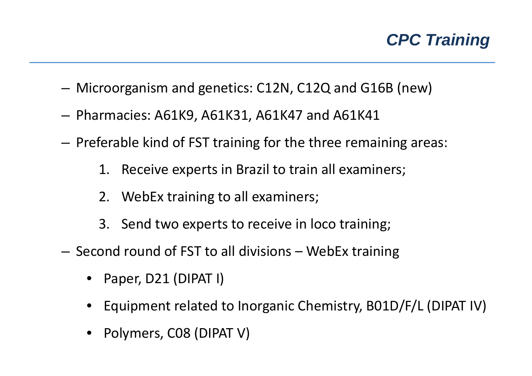

- Microorganism and genetics: C12N, C12Q and G16B (new)
- Pharmacies: A61K9, A61K31, A61K47 and A61K41
- Preferable kind of FST training for the three remaining areas:
	- 1. Receive experts in Brazil to train all examiners;
	- 2. WebEx training to all examiners;
	- 3. Send two experts to receive in loco training;
- Second round of FST to all divisions WebEx training
	- Paper, D21 (DIPAT I)
	- Equipment related to Inorganic Chemistry, B01D/F/L (DIPAT IV)
	- Polymers, C08 (DIPAT V)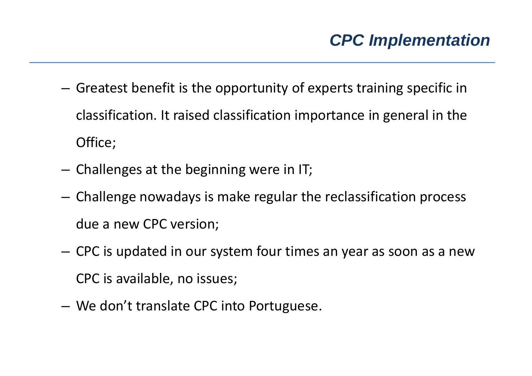- Greatest benefit is the opportunity of experts training specific in classification. It raised classification importance in general in the Office;
- Challenges at the beginning were in IT;
- Challenge nowadays is make regular the reclassification process due a new CPC version;
- CPC is updated in our system four times an year as soon as a new CPC is available, no issues;
- We don't translate CPC into Portuguese.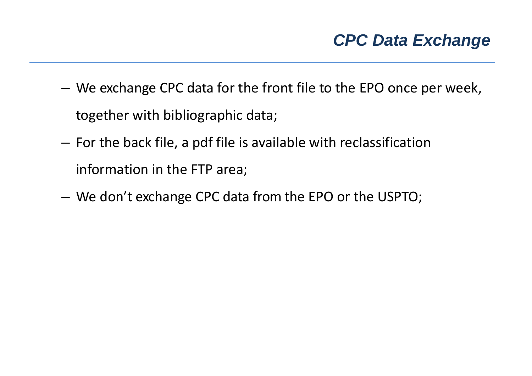- We exchange CPC data for the front file to the EPO once per week, together with bibliographic data;
- For the back file, a pdf file is available with reclassification information in the FTP area;
- We don't exchange CPC data from the EPO or the USPTO;